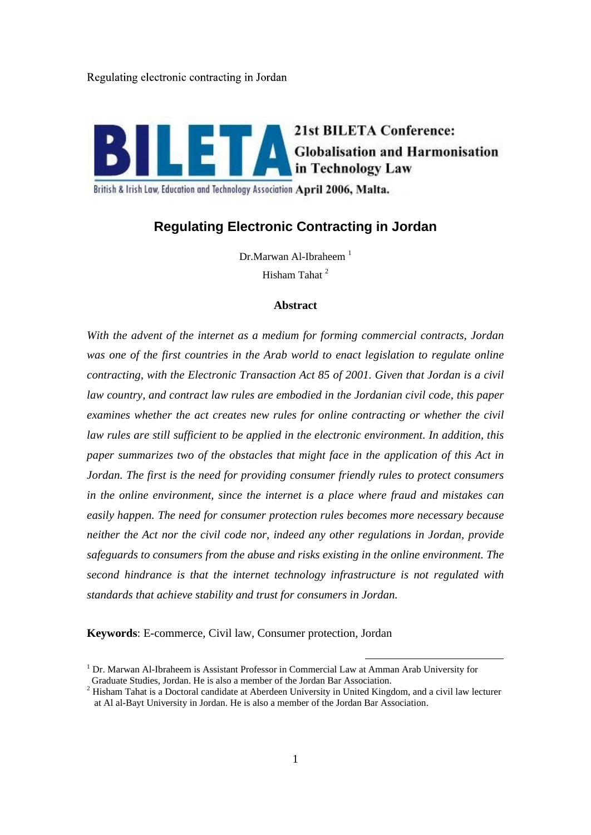**21st BILETA Conference: Globalisation and Harmonisation** in Technology Law

British & Irish Law, Education and Technology Association April 2006, Malta.

# **Regulating Electronic Contracting in Jordan**

Dr.Marwan Al-Ibraheem  $^1$ Hisham Tahat  $2\pi$  2 and 2 and 2 and 2 and 2 and 2 and 2 and 2 and 2 and 2 and 2 and 2 and 2 and 2 and 2 and 2 and 2 and 2 and 2 and 2 and 2 and 2 and 2 and 2 and 2 and 2 and 2 and 2 and 2 and 2 and 2 and 2 and 2 and 2 an

#### **Abstract**

*With the advent of the internet as a medium for forming commercial contracts, Jordan was one of the first countries in the Arab world to enact legislation to regulate online contracting, with the Electronic Transaction Act 85 of 2001. Given that Jordan is a civil law country, and contract law rules are embodied in the Jordanian civil code, this paper examines whether the act creates new rules for online contracting or whether the civil law rules are still suf icient to be applied in the electronic environment. In addition, this paper summarizes two of the obstacles that might face in the application of this Act in Jordan. The first is the need for providing consumer friendly rules to protect consumers in the online environment, since the internet is a place where fraud and mistakes can easily happen. The need for consumer protection rules becomes more necessary because neither the Act nor the civil code nor, indeed any other regulations in Jordan, provide safeguards to consumers from the abuse and risks existing in the online environment. The second hindrance is that the internet technology infrastructure is not regulated with standards that achieve stability and trust for consumers in Jordan.* 

**Keywords**: E-commerce, Civil law, Consumer protection, Jordan

 <sup>1</sup> Dr. Marwan Al-Ibraheem is Assistant Professor in Commercial Law at Amman Arab University for

Graduate Studies, Jordan. He is also a member of the Jordan Bar Association.<br><sup>2</sup> Hisham Tahat is a Doctoral candidate at Aberdeen University in United Kingdom, and a civil law lecturer at Al al-Bayt University in Jordan. He is also a member of the Jordan Bar Association.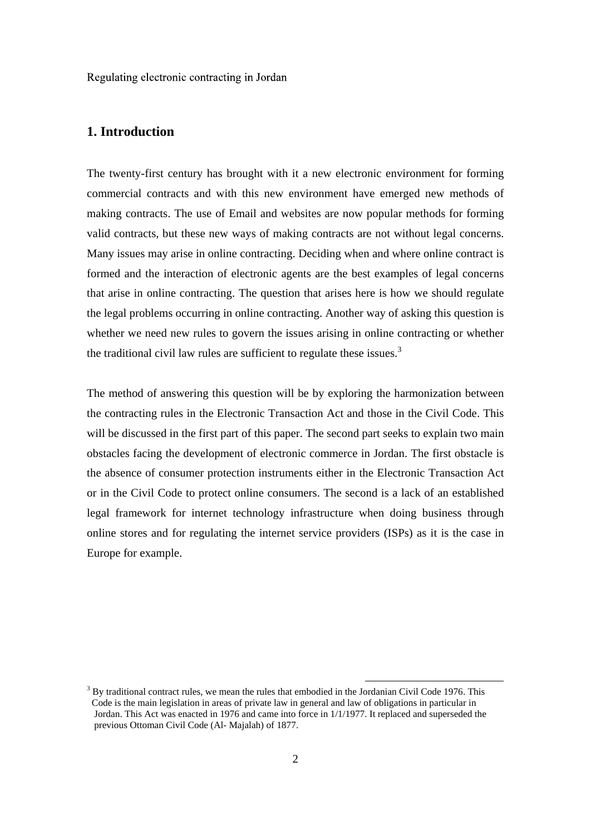## **1. Introduction**

The twenty-first century has brought with it a new electronic environment for forming commercial contracts and with this new environment have emerged new methods of making contracts. The use of Email and websites are now popular methods for forming valid contracts, but these new ways of making contracts are not without legal concerns. Many issues may arise in online contracting. Deciding when and where online contract is formed and the interaction of electronic agents are the best examples of legal concerns that arise in online contracting. The question that arises here is how we should regulate the legal problems occurring in online contracting. Another way of asking this question is whether we need new rules to govern the issues arising in online contracting or whether the traditional civil law rules are sufficient to regulate these issues.<sup>3</sup>

The method of answering this question will be by exploring the harmonization between the contracting rules in the Electronic Transaction Act and those in the Civil Code. This will be discussed in the first part of this paper. The second part seeks to explain two main obstacles facing the development of electronic commerce in Jordan. The first obstacle is the absence of consumer protection instruments either in the Electronic Transaction Act or in the Civil Code to protect online consumers. The second is a lack of an established legal framework for internet technology infrastructure when doing business through online stores and for regulating the internet service providers (ISPs) as it is the case in Europe for example.

<sup>&</sup>lt;sup>3</sup> By traditional contract rules, we mean the rules that embodied in the Jordanian Civil Code 1976. This Code is the main legislation in areas of private law in general and law of obligations in particular in Jordan. This Act was enacted in 1976 and came into force in 1/1/1977. It replaced and superseded the previous Ottoman Civil Code (Al- Majalah) of 1877.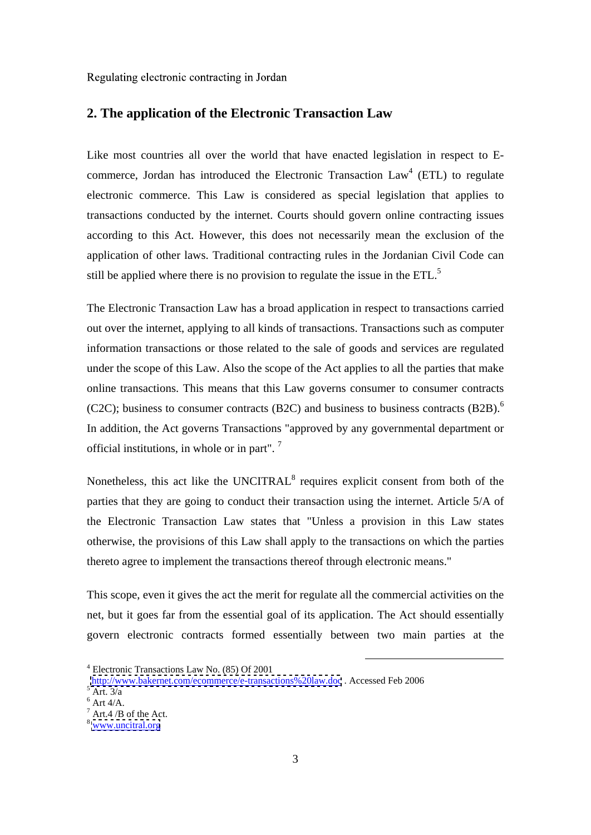## **2. The application of the Electronic Transaction Law**

Like most countries all over the world that have enacted legislation in respect to E commerce, Jordan has introduced the Electronic Transaction  $Law<sup>4</sup>$  (ETL) to regulate  $^{4}$  (ETI) to requiete (ETL) to regulate electronic commerce. This Law is considered as special legislation that applies to transactions conducted by the internet. Courts should govern online contracting issues according to this Act. However, this does not necessarily mean the exclusion of the application of other laws. Traditional contracting rules in the Jordanian Civil Code can still be applied where there is no provision to regulate the issue in the ETL.<sup>5</sup>

The Electronic Transaction Law has a broad application in respect to transactions carried out over the internet, applying to all kinds of transactions. Transactions such as computer information transactions or those related to the sale of goods and services are regulated under the scope of this Law. Also the scope of the Act applies to all the parties that make online transactions. This means that this Law governs consumer to consumer contracts (C2C); business to consumer contracts (B2C) and business to business contracts  $(B2B)$ .<sup>6</sup> In addition, the Act governs Transactions "approved by any governmental department or official institutions, in whole or in part". <sup>7</sup>

Nonetheless, this act like the UNCITRAL<sup>8</sup> requires explicit consent from both of the requires explicit consent from both of the parties that they are going to conduct their transaction using the internet. Article 5/A of the Electronic Transaction Law states that "Unless a provision in this Law states otherwise, the provisions of this Law shall apply to the transactions on which the parties thereto agree to implement the transactions thereof through electronic means."

This scope, even it gives the act the merit for regulate all the commercial activities on the net, but it goes far from the essential goal of its application. The Act should essentially govern electronic contracts formed essentially between two main parties at the

 $4 \text{ Electronic Transactions Law No.}$  (85) Of 2001

<http://www.bakernet.com/ecommerce/e-transactions%20law.doc> . Accessed Feb 2006<br><sup>5</sup> Art. 3/a<br><sup>6</sup> Art 4/A

<sup>&</sup>lt;sup>6</sup> Art 4/A.<br><sup>7</sup> Art.4 /B of the Act.<br><sup>8</sup> [www.uncitral.org](http://www.uncitral.org)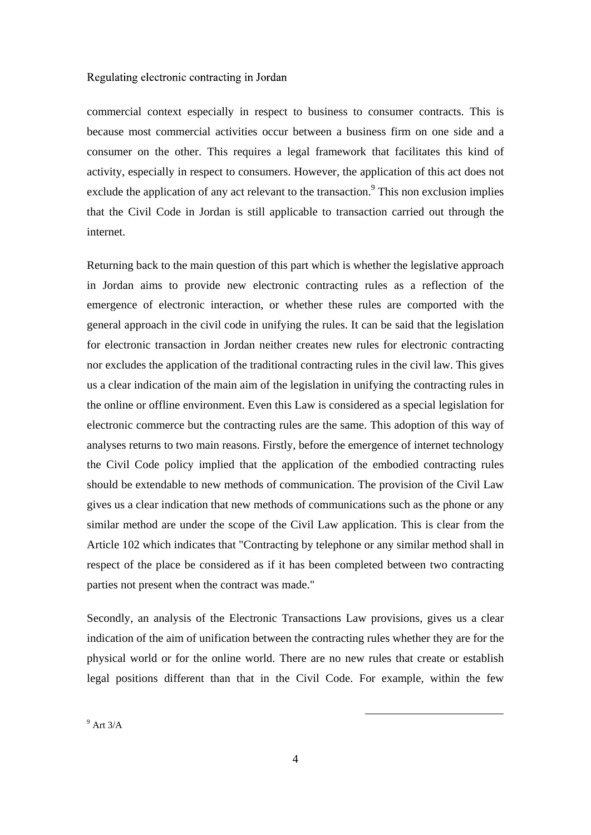commercial context especially in respect to business to consumer contracts. This is because most commercial activities occur between a business firm on one side and a consumer on the other. This requires a legal framework that facilitates this kind of activity, especially in respect to consumers. However, the application of this act does not exclude the application of any act relevant to the transaction. <sup>9</sup> This non exclusion implies that the Civil Code in Jordan is still applicable to transaction carried out through the internet.

Returning back to the main question of this part which is whether the legislative approach in Jordan aims to provide new electronic contracting rules as a reflection of the emergence of electronic interaction, or whether these rules are comported with the general approach in the civil code in unifying the rules. It can be said that the legislation for electronic transaction in Jordan neither creates new rules for electronic contracting nor excludes the application of the traditional contracting rules in the civil law. This gives us a clear indication of the main aim of the legislation in unifying the contracting rules in the online or offline environment. Even this Law is considered as a special legislation for electronic commerce but the contracting rules are the same. This adoption of this way of analyses returns to two main reasons. Firstly, before the emergence of internet technology the Civil Code policy implied that the application of the embodied contracting rules should be extendable to new methods of communication. The provision of the Civil Law gives us a clear indication that new methods of communications such as the phone or any similar method are under the scope of the Civil Law application. This is clear from the Article 102 which indicates that "Contracting by telephone or any similar method shall in respect of the place be considered as if it has been completed between two contracting parties not present when the contract was made."

Secondly, an analysis of the Electronic Transactions Law provisions, gives us a clear indication of the aim of unification between the contracting rules whether they are for the physical world or for the online world. There are no new rules that create or establish legal positions different than that in the Civil Code. For example, within the few

 $\overline{9}$  Art  $3/A$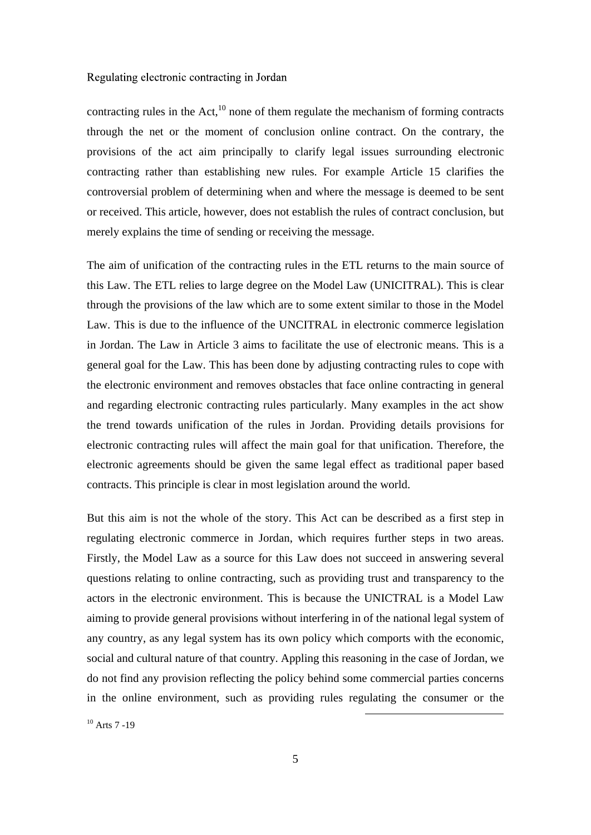contracting rules in the Act, $^{10}$  none of them regulate the mechanism of forming contracts through the net or the moment of conclusion online contract. On the contrary, the provisions of the act aim principally to clarify legal issues surrounding electronic contracting rather than establishing new rules. For example Article 15 clarifies the controversial problem of determining when and where the message is deemed to be sent or received. This article, however, does not establish the rules of contract conclusion, but merely explains the time of sending or receiving the message.

The aim of unification of the contracting rules in the ETL returns to the main source of this Law. The ETL relies to large degree on the Model Law (UNICITRAL). This is clear through the provisions of the law which are to some extent similar to those in the Model Law. This is due to the influence of the UNCITRAL in electronic commerce legislation in Jordan. The Law in Article 3 aims to facilitate the use of electronic means. This is a general goal for the Law. This has been done by adjusting contracting rules to cope with the electronic environment and removes obstacles that face online contracting in general and regarding electronic contracting rules particularly. Many examples in the act show the trend towards unification of the rules in Jordan. Providing details provisions for electronic contracting rules will affect the main goal for that unification. Therefore, the electronic agreements should be given the same legal effect as traditional paper based contracts. This principle is clear in most legislation around the world.

But this aim is not the whole of the story. This Act can be described as a first step in regulating electronic commerce in Jordan, which requires further steps in two areas. Firstly, the Model Law as a source for this Law does not succeed in answering several questions relating to online contracting, such as providing trust and transparency to the actors in the electronic environment. This is because the UNICTRAL is a Model Law aiming to provide general provisions without interfering in of the national legal system of any country, as any legal system has its own policy which comports with the economic, social and cultural nature of that country. Appling this reasoning in the case of Jordan, we do not find any provision reflecting thepolicy behind somecommercial parties concerns in the online environment, such as providing rules regulating the consumer or the  $10$  Arts 7 -19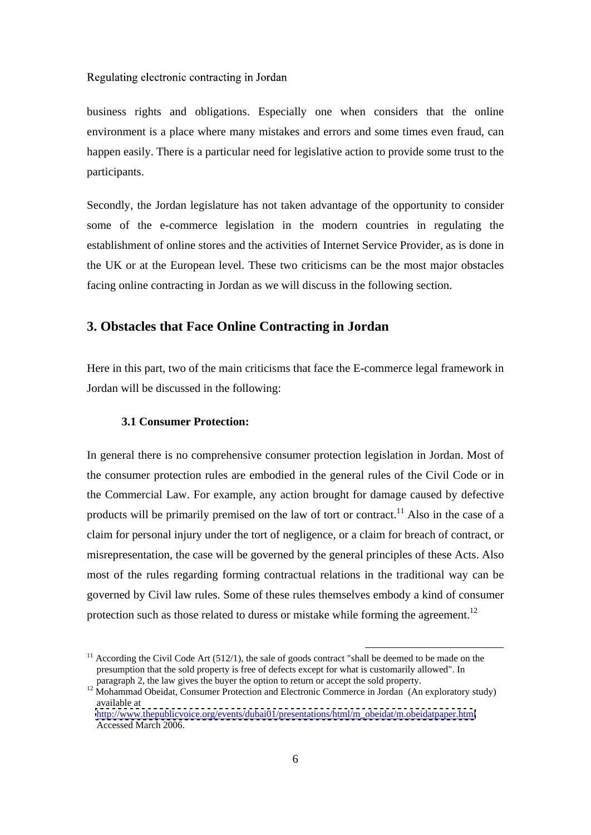business rights and obligations. Especially one when considers that the online environment is a place where many mistakes and errors and some times even fraud, can happen easily. There is a particular need for legislative action to provide some trust to the participants.

Secondly, the Jordan legislature has not taken advantage of the opportunity to consider some of the e-commerce legislation in the modern countries in regulating the establishment of online stores and the activities of Internet Service Provider, as is done in the UK or at the European level. These two criticisms can be the most major obstacles facing online contracting in Jordan as we will discuss in the following section.

## **3. Obstacles that Face Online Contracting in Jordan**

Here in this part, two of the main criticisms that face the E-commerce legal framework in Jordan will be discussed in the following:

### **3.1 Consumer Protection:**

In general there is no comprehensive consumer protection legislation in Jordan. Most of the consumer protection rules are embodied in the general rules of theCivil Code or in the Commercial Law. For example, any action brought for damage caused by defective products will be primarily premised on the law of tort or contract.<sup>11</sup> Also in the case of a claim for personal injury under the tort of negligence, or a claim for breach of contract, or misrepresentation, the case will be governed by the general principles of these Acts. Also most of the rules regarding forming contractual relations in the traditional way can be governed by Civil law rules. Some of these rules themselves embody a kind of consumer protection such as those related to duress or mistake while forming the agreement.<sup>12</sup>

paragraph 2, the law gives the buyer the option to return or accept the sold property.<br>
<sup>12</sup> Mohammad Obeidat, Consumer Protection and Electronic Commerce in Jordan (An exploratory study) available at available at

 $11$  According the Civil Code Art (512/1), the sale of goods contract "shall be deemed to be made on the presumption that the sold property is free of defects except for what is customarily allowed". In

[http://www.thepublicvoice.org/events/dubai01/presentations/html/m\\_obeidat/m.obeidatpaper.html](http://www.thepublicvoice.org/events/dubai01/presentations/html/m_obeidat/m.obeidatpaper.html) Accessed March 2006.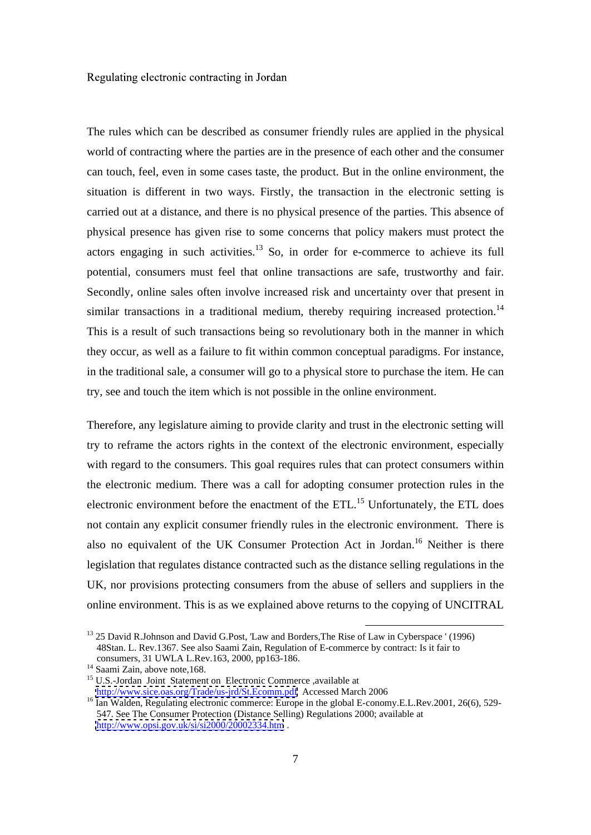The rules which can be described as consumer friendly rules are applied in the physical world of contracting where the parties are in the presence of each other and the consumer can touch, feel, even in some cases taste, the product. But in the online environment, the situation is different in two ways. Firstly, the transaction in the electronic setting is carried out at a distance, and there is no physical presence of the parties. This absence of physical presence has given rise to some concerns that policy makers must protect the actors engaging in such activities.<sup>13</sup> So, in order for e-commerce to achieve its full potential, consumers must feel that online transactions are safe, trustworthy and fair. Secondly, online sales often involve increased risk and uncertainty over that present in similar transactions in a traditional medium, thereby requiring increased protection.<sup>14</sup> This is a result of such transactions being so revolutionary both in the manner in which they occur, as well as a failure to fit within common conceptual paradigms. For instance, in the traditional sale, a consumer will go to a physical store to purchase the item. He can try, see and touch the item which is not possible in the online environment.

Therefore, any legislature aiming to provide clarity and trust in the electronic setting will try to reframe the actors rights in the context of the electronic environment, especially with regard to the consumers. This goal requires rules that can protect consumers within the electronic medium. There was a call for adopting consumer protection rules in the electronic environment before the enactment of the ETL.<sup>15</sup> Unfortunately, the ETL does not contain any explicit consumer friendly rules in the electronic environment. There is also no equivalent of the UK Consumer Protection Act in Jordan.<sup>16</sup> Neither is there legislation that regulates distance contracted such as the distance selling regulations in the UK, nor provisions protecting consumers from the abuse of sellers and suppliers in the online environment. This is as we explained above returns to the copying of UNCITRAL

<sup>&</sup>lt;sup>13</sup> 25 David R.Johnson and David G.Post, 'Law and Borders, The Rise of Law in Cyberspace ' (1996) 48Stan. L. Rev.1367. See also Saami Zain, Regulation of E-commerce by contract: Is it fair to

consumers, 31 UWLA L.Rev.163, 2000, pp163-186.<br><sup>14</sup> Saami Zain, above note,168.<br><sup>15</sup> U.S.-Jordan Joint Statement on Electronic Commerce ,available at <http://www.sice.oas.org/Trade/us-jrd/St.Ecomm.pdf>Accessed March 2006

<sup>&</sup>lt;sup>16</sup> Ian Walden, Regulating electronic commerce: Europe in the global E-conomy.E.L.Rev.2001, 26(6), 529- 547. See The Consumer Protection (Distance Selling) Regulations 2000; available at <http://www.opsi.gov.uk/si/si2000/20002334.htm> .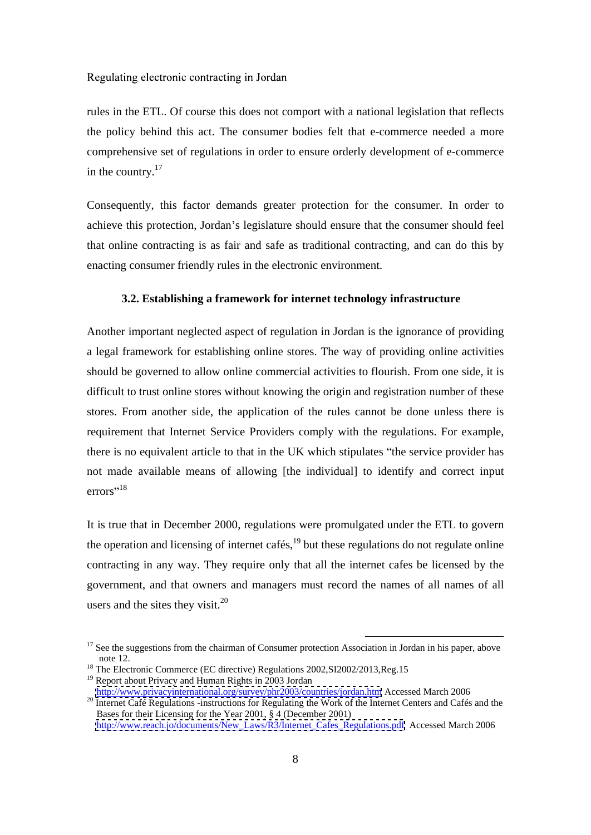rules in the ETL. Of course this does not comport with a national legislation that reflects the policy behind this act. The consumer bodies felt that e-commerce needed a more comprehensive set of regulations in order to ensure orderly development of e-commerce in the country.<sup>17</sup>

Consequently, this factor demands greater protection for the consumer. In order to achieve this protection, Jordan's legislature should ensure that the consumer should feel that online contracting is as fair and safe as traditional contracting, and can do this by enacting consumer friendly rules in the electronic environment.

#### **3.2. Establishing a framework for internet technology infrastructure**

Another important neglected aspect of regulation in Jordan is the ignorance of providing a legal framework for establishing online stores. The way of providing online activities should be governed to allow online commercial activities to flourish. From one side, it is difficult to trust online stores without knowing the origin and registration number of these stores. From another side, the application of the rules cannot be done unless there is requirement that Internet Service Providers comply with the regulations. For example, there is no equivalent article to that in the UK which stipulates "the service provider has not made available means of allowing [the individual] to identify and correct input  $\text{errors}^{*18}$ 

It is true that in December 2000, regulations were promulgated under the ETL to govern the operation and licensing of internet cafés, $19$  but these regulations do not regulate online contracting in any way. They require only that all the internet cafes be licensed by the government, and that owners and managers must record the names of all names of all users and the sites they visit. $^{20}$ 

<sup>&</sup>lt;sup>17</sup> See the suggestions from the chairman of Consumer protection Association in Jordan in his paper, above note 12.

<sup>&</sup>lt;sup>18</sup> The Electronic Commerce (EC directive) Regulations 2002, SI2002/2013, Reg.15<sup>19</sup> Report about Privacy and Human Rights in 2003 Jordan

<http://www.privacyinternational.org/survey/phr2003/countries/jordan.htm> Accessed March 2006<br><sup>20</sup> Internet Café Regulations -instructions for Regulating the Work of the Internet Centers and Cafés and the

Bases for their Licensing for the Year 2001, § 4 (December 2001) [http://www.reach.jo/documents/New\\_Laws/R3/Internet\\_Cafes\\_Regulations.pdf](http://www.reach.jo/documents/New_Laws/R3/Internet_Cafes_Regulations.pdf) Accessed March 2006